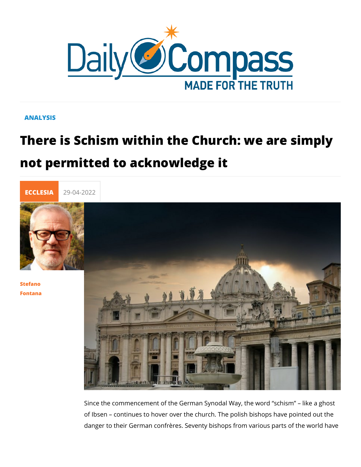## ANALYSIS

## There is Schism within the Church: we not permitted to acknowledge it



## [Stefan](/en/stefano-fontana)o [Fontan](/en/stefano-fontana)a

Since the commencement of the German Synodal Way, the word of Ibsen continues to hover over the church. The polish bish danger to their German confrères. Seventy bishops from variou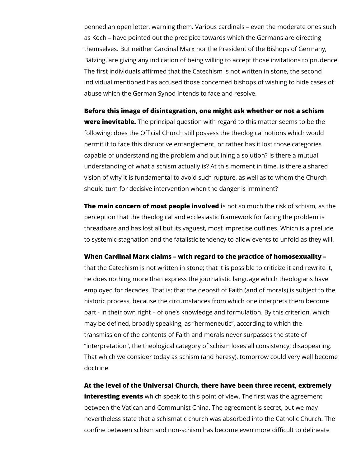penned an open letter, warning them. Various cardinals – even the moderate ones such as Koch – have pointed out the precipice towards which the Germans are directing themselves. But neither Cardinal Marx nor the President of the Bishops of Germany, Bätzing, are giving any indication of being willing to accept those invitations to prudence. The first individuals affirmed that the Catechism is not written in stone, the second individual mentioned has accused those concerned bishops of wishing to hide cases of abuse which the German Synod intends to face and resolve.

**Before this image of disintegration, one might ask whether or not a schism were inevitable.** The principal question with regard to this matter seems to be the following: does the Official Church still possess the theological notions which would permit it to face this disruptive entanglement, or rather has it lost those categories capable of understanding the problem and outlining a solution? Is there a mutual understanding of what a schism actually is? At this moment in time, is there a shared vision of why it is fundamental to avoid such rupture, as well as to whom the Church should turn for decisive intervention when the danger is imminent?

**The main concern of most people involved i**s not so much the risk of schism, as the perception that the theological and ecclesiastic framework for facing the problem is threadbare and has lost all but its vaguest, most imprecise outlines. Which is a prelude to systemic stagnation and the fatalistic tendency to allow events to unfold as they will.

## **When Cardinal Marx claims – with regard to the practice of homosexuality –**

that the Catechism is not written in stone; that it is possible to criticize it and rewrite it, he does nothing more than express the journalistic language which theologians have employed for decades. That is: that the deposit of Faith (and of morals) is subject to the historic process, because the circumstances from which one interprets them become part - in their own right – of one's knowledge and formulation. By this criterion, which may be defined, broadly speaking, as "hermeneutic", according to which the transmission of the contents of Faith and morals never surpasses the state of "interpretation", the theological category of schism loses all consistency, disappearing. That which we consider today as schism (and heresy), tomorrow could very well become doctrine.

**At the level of the Universal Church**, **there have been three recent, extremely interesting events** which speak to this point of view. The first was the agreement between the Vatican and Communist China. The agreement is secret, but we may nevertheless state that a schismatic church was absorbed into the Catholic Church. The confine between schism and non-schism has become even more difficult to delineate